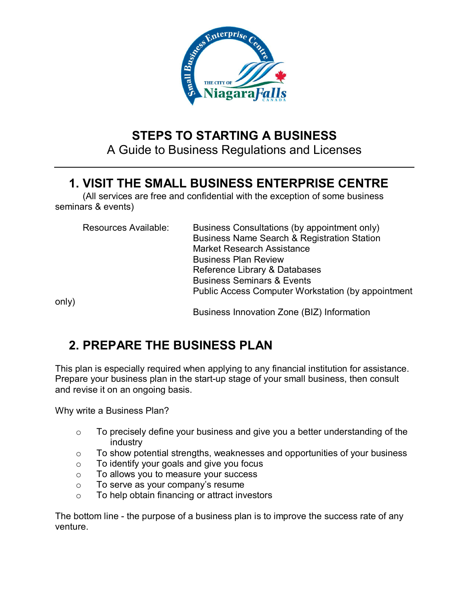

# **STEPS TO STARTING A BUSINESS**

A Guide to Business Regulations and Licenses

# **1. VISIT THE SMALL BUSINESS ENTERPRISE CENTRE**

(All services are free and confidential with the exception of some business seminars & events)

| <b>Business Plan Review</b><br>Reference Library & Databases<br><b>Business Seminars &amp; Events</b><br><b>Public Access Computer Workstation (by appointment)</b> |
|---------------------------------------------------------------------------------------------------------------------------------------------------------------------|
|---------------------------------------------------------------------------------------------------------------------------------------------------------------------|

only)

Business Innovation Zone (BIZ) Information

# **2. PREPARE THE BUSINESS PLAN**

This plan is especially required when applying to any financial institution for assistance. Prepare your business plan in the start-up stage of your small business, then consult and revise it on an ongoing basis.

Why write a Business Plan?

- $\circ$  To precisely define your business and give you a better understanding of the industry
- o To show potential strengths, weaknesses and opportunities of your business
- o To identify your goals and give you focus
- o To allows you to measure your success
- o To serve as your company's resume
- o To help obtain financing or attract investors

The bottom line - the purpose of a business plan is to improve the success rate of any venture.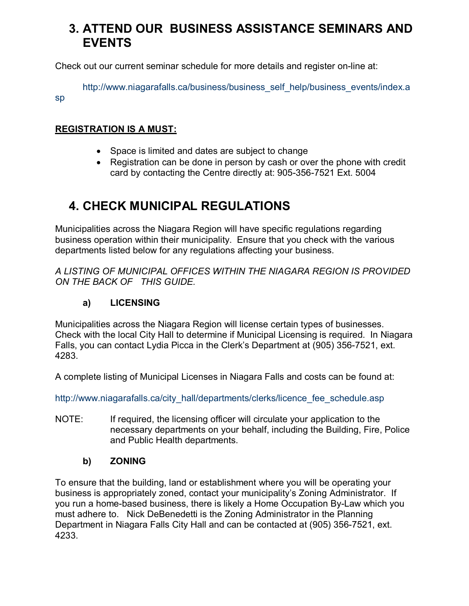# **3. ATTEND OUR BUSINESS ASSISTANCE SEMINARS AND EVENTS**

Check out our current seminar schedule for more details and register on-line at:

http://www.niagarafalls.ca/business/business\_self\_help/business\_events/index.a

sp

### **REGISTRATION IS A MUST:**

- Space is limited and dates are subject to change
- Registration can be done in person by cash or over the phone with credit card by contacting the Centre directly at: 905-356-7521 Ext. 5004

# **4. CHECK MUNICIPAL REGULATIONS**

Municipalities across the Niagara Region will have specific regulations regarding business operation within their municipality. Ensure that you check with the various departments listed below for any regulations affecting your business.

*A LISTING OF MUNICIPAL OFFICES WITHIN THE NIAGARA REGION IS PROVIDED ON THE BACK OF THIS GUIDE.*

## **a) LICENSING**

Municipalities across the Niagara Region will license certain types of businesses. Check with the local City Hall to determine if Municipal Licensing is required. In Niagara Falls, you can contact Lydia Picca in the Clerk's Department at (905) 356-7521, ext. 4283.

A complete listing of Municipal Licenses in Niagara Falls and costs can be found at:

http://www.niagarafalls.ca/city\_hall/departments/clerks/licence\_fee\_schedule.asp

NOTE: If required, the licensing officer will circulate your application to the necessary departments on your behalf, including the Building, Fire, Police and Public Health departments.

## **b) ZONING**

To ensure that the building, land or establishment where you will be operating your business is appropriately zoned, contact your municipality's Zoning Administrator. If you run a home-based business, there is likely a Home Occupation By-Law which you must adhere to. Nick DeBenedetti is the Zoning Administrator in the Planning Department in Niagara Falls City Hall and can be contacted at (905) 356-7521, ext. 4233.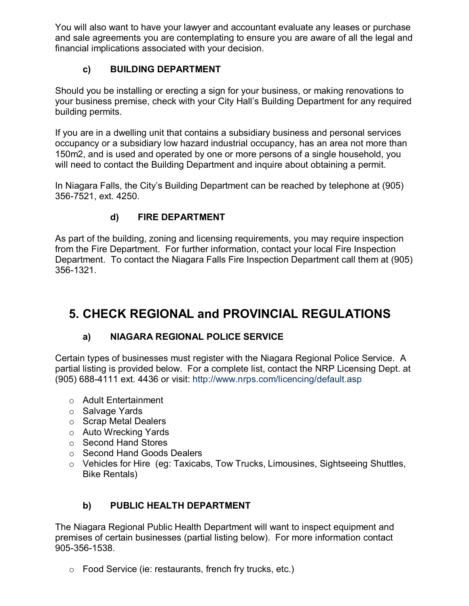You will also want to have your lawyer and accountant evaluate any leases or purchase and sale agreements you are contemplating to ensure you are aware of all the legal and financial implications associated with your decision.

## **c) BUILDING DEPARTMENT**

Should you be installing or erecting a sign for your business, or making renovations to your business premise, check with your City Hall's Building Department for any required building permits.

If you are in a dwelling unit that contains a subsidiary business and personal services occupancy or a subsidiary low hazard industrial occupancy, has an area not more than 150m2, and is used and operated by one or more persons of a single household, you will need to contact the Building Department and inquire about obtaining a permit.

In Niagara Falls, the City's Building Department can be reached by telephone at (905) 356-7521, ext. 4250.

# **d) FIRE DEPARTMENT**

As part of the building, zoning and licensing requirements, you may require inspection from the Fire Department. For further information, contact your local Fire Inspection Department. To contact the Niagara Falls Fire Inspection Department call them at (905) 356-1321.

# **5. CHECK REGIONAL and PROVINCIAL REGULATIONS**

## **a) NIAGARA REGIONAL POLICE SERVICE**

Certain types of businesses must register with the Niagara Regional Police Service. A partial listing is provided below. For a complete list, contact the NRP Licensing Dept. at (905) 688-4111 ext. 4436 or visit: http://www.nrps.com/licencing/default.asp

- o Adult Entertainment
- o Salvage Yards
- o Scrap Metal Dealers
- o Auto Wrecking Yards
- o Second Hand Stores
- o Second Hand Goods Dealers
- o Vehicles for Hire (eg: Taxicabs, Tow Trucks, Limousines, Sightseeing Shuttles, Bike Rentals)

# **b) PUBLIC HEALTH DEPARTMENT**

The Niagara Regional Public Health Department will want to inspect equipment and premises of certain businesses (partial listing below). For more information contact 905-356-1538.

o Food Service (ie: restaurants, french fry trucks, etc.)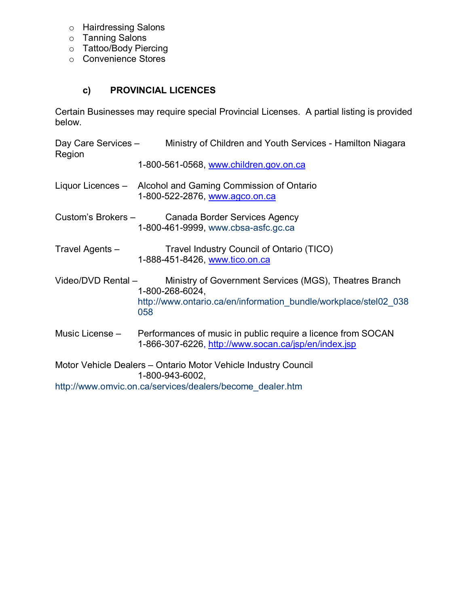- o Hairdressing Salons
- o Tanning Salons
- o Tattoo/Body Piercing
- o Convenience Stores

# **c) PROVINCIAL LICENCES**

Certain Businesses may require special Provincial Licenses. A partial listing is provided below.

| Region             | Day Care Services - Ministry of Children and Youth Services - Hamilton Niagara                                                                       |
|--------------------|------------------------------------------------------------------------------------------------------------------------------------------------------|
|                    | 1-800-561-0568, www.children.gov.on.ca                                                                                                               |
|                    | Liquor Licences - Alcohol and Gaming Commission of Ontario<br>1-800-522-2876, www.agco.on.ca                                                         |
| Custom's Brokers - | Canada Border Services Agency<br>1-800-461-9999, www.cbsa-asfc.gc.ca                                                                                 |
| Travel Agents -    | Travel Industry Council of Ontario (TICO)<br>1-888-451-8426, www.tico.on.ca                                                                          |
| Video/DVD Rental - | Ministry of Government Services (MGS), Theatres Branch<br>1-800-268-6024,<br>http://www.ontario.ca/en/information_bundle/workplace/stel02_038<br>058 |
|                    | Music License – Performances of music in public require a licence from SOCAN<br>1-866-307-6226, http://www.socan.ca/jsp/en/index.jsp                 |
|                    | Motor Vehicle Dealers - Ontario Motor Vehicle Industry Council<br>1-800-943-6002,                                                                    |
|                    | http://www.omvic.on.ca/services/dealers/become_dealer.htm                                                                                            |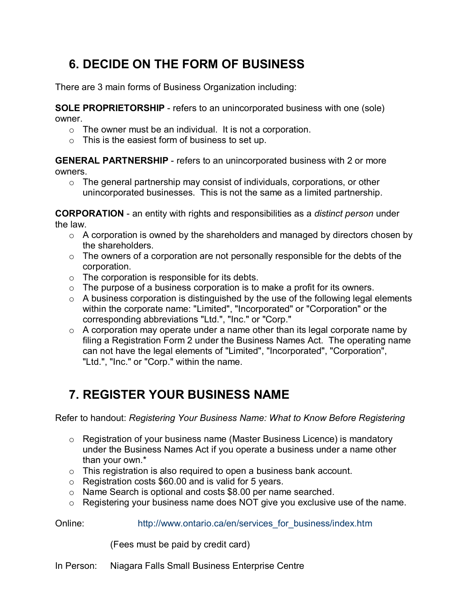# **6. DECIDE ON THE FORM OF BUSINESS**

There are 3 main forms of Business Organization including:

**SOLE PROPRIETORSHIP** - refers to an unincorporated business with one (sole) owner.

- o The owner must be an individual. It is not a corporation.
- o This is the easiest form of business to set up.

**GENERAL PARTNERSHIP** - refers to an unincorporated business with 2 or more owners.

 $\circ$  The general partnership may consist of individuals, corporations, or other unincorporated businesses. This is not the same as a limited partnership.

**CORPORATION** - an entity with rights and responsibilities as a *distinct person* under the law.

- $\circ$  A corporation is owned by the shareholders and managed by directors chosen by the shareholders.
- $\circ$  The owners of a corporation are not personally responsible for the debts of the corporation.
- o The corporation is responsible for its debts.
- $\circ$  The purpose of a business corporation is to make a profit for its owners.
- $\circ$  A business corporation is distinguished by the use of the following legal elements within the corporate name: "Limited", "Incorporated" or "Corporation" or the corresponding abbreviations "Ltd.", "Inc." or "Corp."
- $\circ$  A corporation may operate under a name other than its legal corporate name by filing a Registration Form 2 under the Business Names Act. The operating name can not have the legal elements of "Limited", "Incorporated", "Corporation", "Ltd.", "Inc." or "Corp." within the name.

# **7. REGISTER YOUR BUSINESS NAME**

Refer to handout: *Registering Your Business Name: What to Know Before Registering*

- o Registration of your business name (Master Business Licence) is mandatory under the Business Names Act if you operate a business under a name other than your own.\*
- o This registration is also required to open a business bank account.
- o Registration costs \$60.00 and is valid for 5 years.
- o Name Search is optional and costs \$8.00 per name searched.
- o Registering your business name does NOT give you exclusive use of the name.

Online: http://www.ontario.ca/en/services\_for\_business/index.htm

(Fees must be paid by credit card)

In Person: Niagara Falls Small Business Enterprise Centre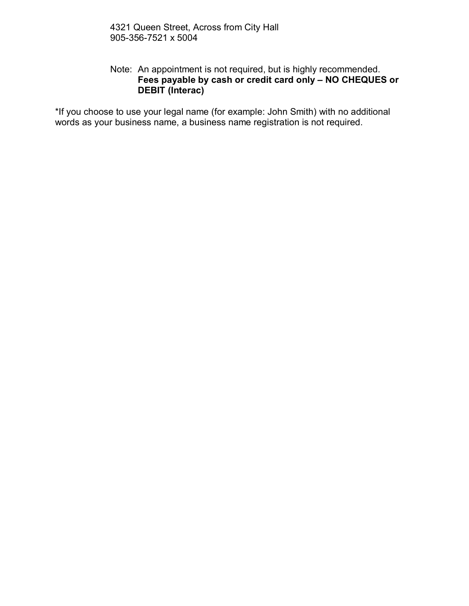4321 Queen Street, Across from City Hall 905-356-7521 x 5004

#### Note: An appointment is not required, but is highly recommended. **Fees payable by cash or credit card only – NO CHEQUES or DEBIT (Interac)**

\*If you choose to use your legal name (for example: John Smith) with no additional words as your business name, a business name registration is not required.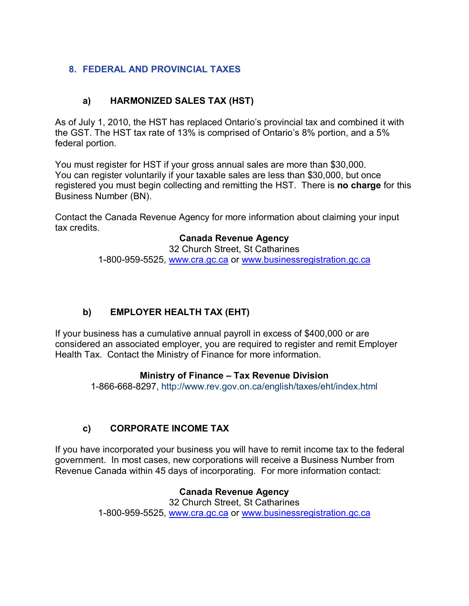## **8. FEDERAL AND PROVINCIAL TAXES**

## **a) HARMONIZED SALES TAX (HST)**

As of July 1, 2010, the HST has replaced Ontario's provincial tax and combined it with the GST. The HST tax rate of 13% is comprised of Ontario's 8% portion, and a 5% federal portion.

You must register for HST if your gross annual sales are more than \$30,000. You can register voluntarily if your taxable sales are less than \$30,000, but once registered you must begin collecting and remitting the HST. There is **no charge** for this Business Number (BN).

Contact the Canada Revenue Agency for more information about claiming your input tax credits.

#### **Canada Revenue Agency**

32 Church Street, St Catharines

1-800-959-5525, www.cra.gc.ca or www.businessregistration.gc.ca

#### **b) EMPLOYER HEALTH TAX (EHT)**

If your business has a cumulative annual payroll in excess of \$400,000 or are considered an associated employer, you are required to register and remit Employer Health Tax. Contact the Ministry of Finance for more information.

#### **Ministry of Finance – Tax Revenue Division**

1-866-668-8297, http://www.rev.gov.on.ca/english/taxes/eht/index.html

#### **c) CORPORATE INCOME TAX**

If you have incorporated your business you will have to remit income tax to the federal government. In most cases, new corporations will receive a Business Number from Revenue Canada within 45 days of incorporating. For more information contact:

#### **Canada Revenue Agency**

32 Church Street, St Catharines

1-800-959-5525, www.cra.gc.ca or www.businessregistration.gc.ca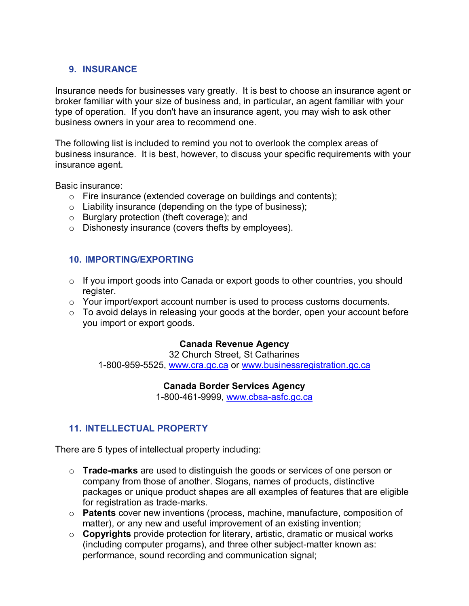#### **9. INSURANCE**

Insurance needs for businesses vary greatly. It is best to choose an insurance agent or broker familiar with your size of business and, in particular, an agent familiar with your type of operation. If you don't have an insurance agent, you may wish to ask other business owners in your area to recommend one.

The following list is included to remind you not to overlook the complex areas of business insurance. It is best, however, to discuss your specific requirements with your insurance agent.

Basic insurance:

- o Fire insurance (extended coverage on buildings and contents);
- $\circ$  Liability insurance (depending on the type of business);
- o Burglary protection (theft coverage); and
- o Dishonesty insurance (covers thefts by employees).

#### **10. IMPORTING/EXPORTING**

- $\circ$  If you import goods into Canada or export goods to other countries, you should register.
- $\circ$  Your import/export account number is used to process customs documents.
- $\circ$  To avoid delays in releasing your goods at the border, open your account before you import or export goods.

#### **Canada Revenue Agency**

32 Church Street, St Catharines

1-800-959-5525, www.cra.gc.ca or www.businessregistration.gc.ca

#### **Canada Border Services Agency**

1-800-461-9999, www.cbsa-asfc.gc.ca

#### **11. INTELLECTUAL PROPERTY**

There are 5 types of intellectual property including:

- o **Trade-marks** are used to distinguish the goods or services of one person or company from those of another. Slogans, names of products, distinctive packages or unique product shapes are all examples of features that are eligible for registration as trade-marks.
- o **Patents** cover new inventions (process, machine, manufacture, composition of matter), or any new and useful improvement of an existing invention;
- o **Copyrights** provide protection for literary, artistic, dramatic or musical works (including computer progams), and three other subject-matter known as: performance, sound recording and communication signal;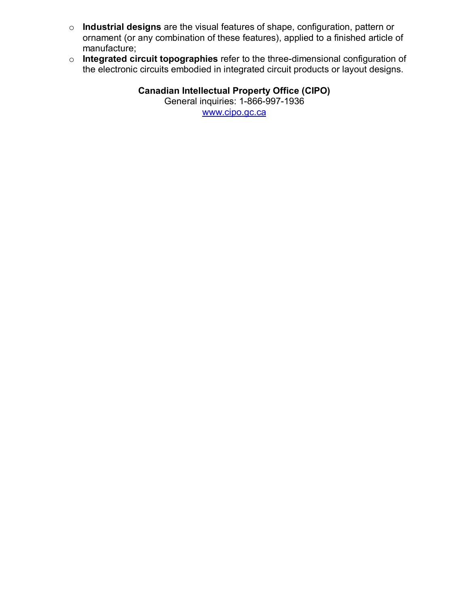- o **Industrial designs** are the visual features of shape, configuration, pattern or ornament (or any combination of these features), applied to a finished article of manufacture;
- o **Integrated circuit topographies** refer to the three-dimensional configuration of the electronic circuits embodied in integrated circuit products or layout designs.

**Canadian Intellectual Property Office (CIPO)**

General inquiries: 1-866-997-1936 www.cipo.gc.ca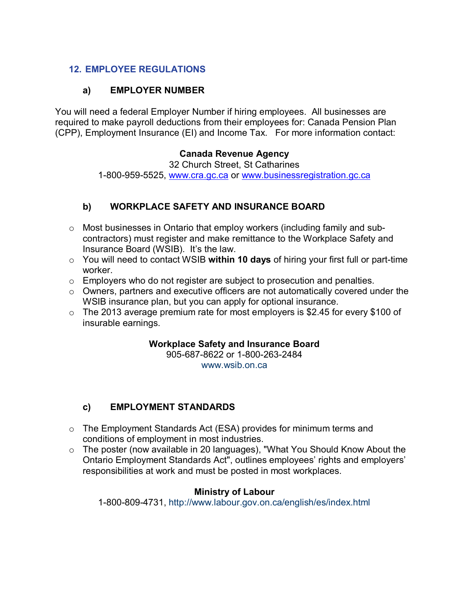### **12. EMPLOYEE REGULATIONS**

### **a) EMPLOYER NUMBER**

You will need a federal Employer Number if hiring employees. All businesses are required to make payroll deductions from their employees for: Canada Pension Plan (CPP), Employment Insurance (EI) and Income Tax. For more information contact:

### **Canada Revenue Agency**

32 Church Street, St Catharines 1-800-959-5525, www.cra.gc.ca or www.businessregistration.gc.ca

## **b) WORKPLACE SAFETY AND INSURANCE BOARD**

- $\circ$  Most businesses in Ontario that employ workers (including family and subcontractors) must register and make remittance to the Workplace Safety and Insurance Board (WSIB). It's the law.
- o You will need to contact WSIB **within 10 days** of hiring your first full or part-time worker.
- $\circ$  Employers who do not register are subject to prosecution and penalties.
- o Owners, partners and executive officers are not automatically covered under the WSIB insurance plan, but you can apply for optional insurance.
- o The 2013 average premium rate for most employers is \$2.45 for every \$100 of insurable earnings.

#### **Workplace Safety and Insurance Board**

905-687-8622 or 1-800-263-2484 www.wsib.on.ca

## **c) EMPLOYMENT STANDARDS**

- o The Employment Standards Act (ESA) provides for minimum terms and conditions of employment in most industries.
- o The poster (now available in 20 languages), "What You Should Know About the Ontario Employment Standards Act", outlines employees' rights and employers' responsibilities at work and must be posted in most workplaces.

#### **Ministry of Labour**

1-800-809-4731, http://www.labour.gov.on.ca/english/es/index.html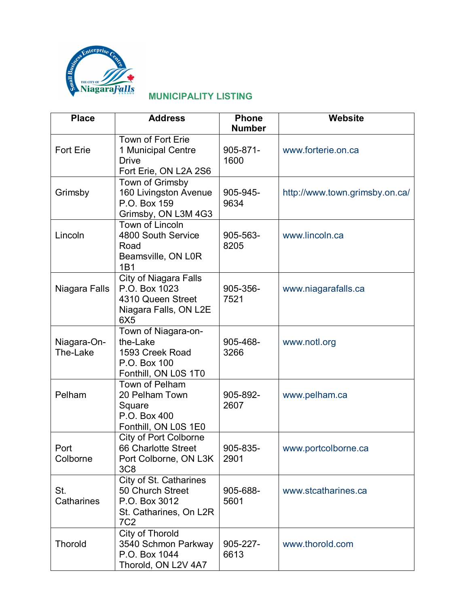

## **MUNICIPALITY LISTING**

| <b>Place</b>            | <b>Address</b>                                                                                                 | <b>Phone</b><br><b>Number</b> | <b>Website</b>                 |
|-------------------------|----------------------------------------------------------------------------------------------------------------|-------------------------------|--------------------------------|
| <b>Fort Erie</b>        | Town of Fort Erie<br>1 Municipal Centre<br><b>Drive</b><br>Fort Erie, ON L2A 2S6                               | $905 - 871 -$<br>1600         | www.forterie.on.ca             |
| Grimsby                 | Town of Grimsby<br>160 Livingston Avenue<br>P.O. Box 159<br>Grimsby, ON L3M 4G3                                | 905-945-<br>9634              | http://www.town.grimsby.on.ca/ |
| Lincoln                 | Town of Lincoln<br>4800 South Service<br>Road<br>Beamsville, ON L0R<br>1B1                                     | 905-563-<br>8205              | www.lincoln.ca                 |
| Niagara Falls           | <b>City of Niagara Falls</b><br>P.O. Box 1023<br>4310 Queen Street<br>Niagara Falls, ON L2E<br>6X <sub>5</sub> | 905-356-<br>7521              | www.niagarafalls.ca            |
| Niagara-On-<br>The-Lake | Town of Niagara-on-<br>the-Lake<br>1593 Creek Road<br>P.O. Box 100<br>Fonthill, ON L0S 1T0                     | 905-468-<br>3266              | www.notl.org                   |
| Pelham                  | Town of Pelham<br>20 Pelham Town<br>Square<br>P.O. Box 400<br>Fonthill, ON L0S 1E0                             | 905-892-<br>2607              | www.pelham.ca                  |
| Port<br>Colborne        | <b>City of Port Colborne</b><br>66 Charlotte Street<br>Port Colborne, ON L3K<br>3C8                            | 905-835-<br>2901              | www.portcolborne.ca            |
| St.<br>Catharines       | City of St. Catharines<br>50 Church Street<br>P.O. Box 3012<br>St. Catharines, On L2R<br>7C <sub>2</sub>       | 905-688-<br>5601              | www.stcatharines.ca            |
| <b>Thorold</b>          | City of Thorold<br>3540 Schmon Parkway<br>P.O. Box 1044<br>Thorold, ON L2V 4A7                                 | 905-227-<br>6613              | www.thorold.com                |